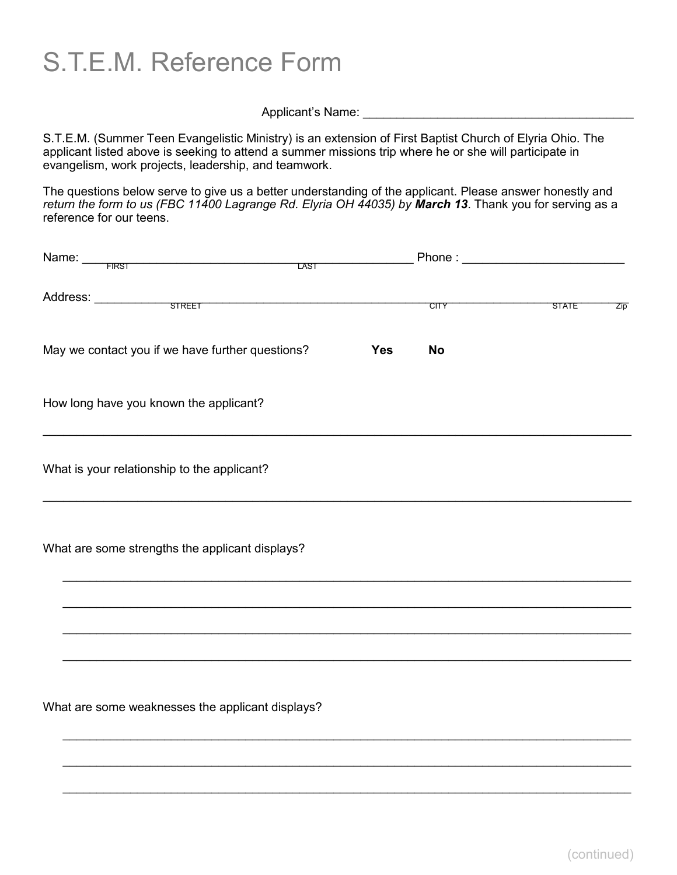S.T.E.M. Reference Form

Applicant's Name:

S.T.E.M. (Summer Teen Evangelistic Ministry) is an extension of First Baptist Church of Elyria Ohio. The applicant listed above is seeking to attend a summer missions trip where he or she will participate in evangelism, work projects, leadership, and teamwork.

The questions below serve to give us a better understanding of the applicant. Please answer honestly and *return the form to us (FBC 11400 Lagrange Rd. Elyria OH 44035) by March 13*. Thank you for serving as a reference for our teens.

| Name: FIRST<br><u> 1989 - Johann Stoff, fransk politik (d. 1989)</u><br><b>LAST</b> |            |             |       |             |
|-------------------------------------------------------------------------------------|------------|-------------|-------|-------------|
| Address: SIREET                                                                     |            | <b>CITY</b> | STATE | $\angle$ ip |
| May we contact you if we have further questions?                                    | <b>Yes</b> | <b>No</b>   |       |             |
| How long have you known the applicant?                                              |            |             |       |             |
| What is your relationship to the applicant?                                         |            |             |       |             |
| What are some strengths the applicant displays?                                     |            |             |       |             |
|                                                                                     |            |             |       |             |
|                                                                                     |            |             |       |             |
| What are some weaknesses the applicant displays?                                    |            |             |       |             |
|                                                                                     |            |             |       |             |